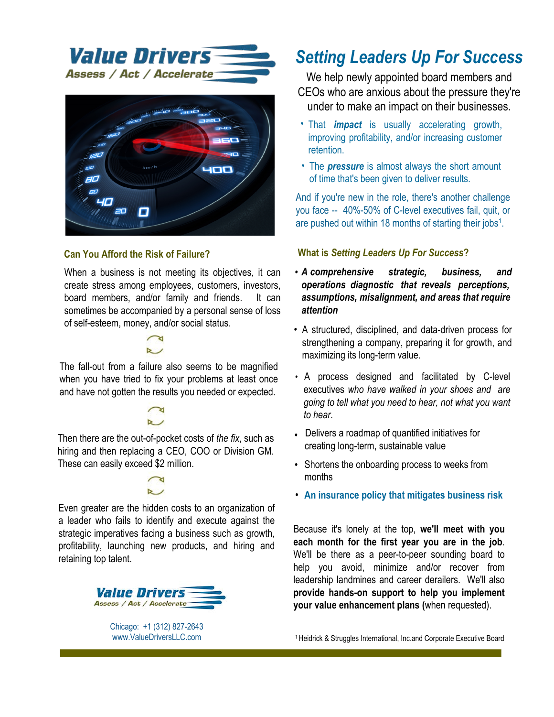



### **Can You Afford the Risk of Failure?**

When a business is not meeting its objectives, it can create stress among employees, customers, investors, lenders, board members, and/or family and friends. It can sometimes be accompanied by a personal sense of loss of self-esteem, money, and/or social status.



The fall-out from a failure also seems to be magnified when you have tried to fix your problems at least once and have not gotten the results you needed or expected.

Then there are the out-of-pocket costs of the fix, such as hiring and then replacing a CEO, COO or Division GM. These can easily exceed \$2 million.



Even greater are the hidden costs to an organization of a leader who fails to identify and execute against the strategic imperatives facing a business such as growth, profitability, launching new products, and hiring and retaining top talent.



Chicago: +1 (312) 827-2643 www.ValueDriversLLC.com

## **Setting Leaders Up For Success**

We help newly appointed CEOs and other executives who are anxious about the pressure they're under to make an impact on their businesses.

- That *impact* is usually accelerating growth, improving profitability, and/or increasing customer retention.
- The *pressure* is almost always the short amount of time that's been given to deliver results.

And if you're new in the role, there's another challenge you face -- 40%-50% of C-level executives fail, quit, or are pushed out within 18 months of starting their jobs<sup>1</sup>.

#### **What is Setting Leaders Up For Success?**

- A suite of comprehensive strategic, business, and operations diagnostics that reveal blind spots misperceptions, and areas that require attention
- A collection of tr ct red, di ciplined, and data driven proprietar tool for tren t enin an individ al, a tea, and a co pan.
- ools co erin leadership, culture, core operations, and client loyalty that allo a and his or her tea to a e a i er i pact, sooner than e pected.
- Processes designed and facilitated by C-level executives who have walked in your shoes and are [oin[ to tell whahyou need to hearžnohwhahyou wanhto hear"
- T ools that deliver admaps of q uantified initiatives for creating long-term, sustainable value
- Insurance policies that mitigate business risk.

eca e it's lonely at the top, we'll meet with you each month for the first year you are in the job. We'll be there as a peer-to-peersoundingboard to help you avoid, minimiz e and or recover from leadership landmines and We'll aprovide hands-on support to career derailers. help you implement your value enhancement plans (when requested).

<sup>1</sup> Heidrick & Struggles International, Inc.and Corporate Executive Board